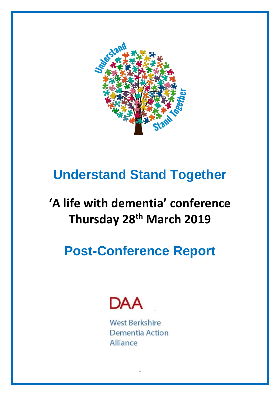

# **Understand Stand Together**

# **'A life with dementia' conference Thursday 28th March 2019**

# **Post-Conference Report**



**West Berkshire** Dementia Action Alliance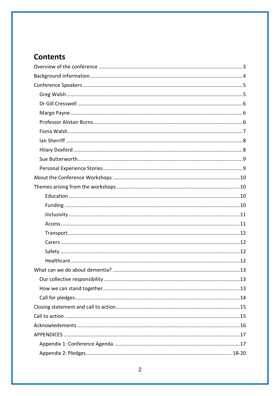## **Contents**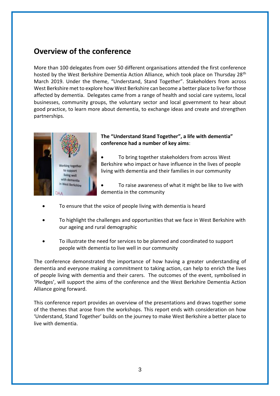## <span id="page-2-0"></span>**Overview of the conference**

More than 100 delegates from over 50 different organisations attended the first conference hosted by the West Berkshire Dementia Action Alliance, which took place on Thursday 28<sup>th</sup> March 2019. Under the theme, "Understand, Stand Together". Stakeholders from across West Berkshire met to explore how West Berkshire can become a better place to live for those affected by dementia. Delegates came from a range of health and social care systems, local businesses, community groups, the voluntary sector and local government to hear about good practice, to learn more about dementia, to exchange ideas and create and strengthen partnerships.



#### **The "Understand Stand Together", a life with dementia" conference had a number of key aims**:

- To bring together stakeholders from across West Berkshire who impact or have influence in the lives of people living with dementia and their families in our community
- To raise awareness of what it might be like to live with dementia in the community
- To ensure that the voice of people living with dementia is heard
- To highlight the challenges and opportunities that we face in West Berkshire with our ageing and rural demographic
- To illustrate the need for services to be planned and coordinated to support people with dementia to live well in our community

The conference demonstrated the importance of how having a greater understanding of dementia and everyone making a commitment to taking action, can help to enrich the lives of people living with dementia and their carers. The outcomes of the event, symbolised in 'Pledges', will support the aims of the conference and the West Berkshire Dementia Action Alliance going forward.

This conference report provides an overview of the presentations and draws together some of the themes that arose from the workshops. This report ends with consideration on how 'Understand, Stand Together' builds on the journey to make West Berkshire a better place to live with dementia.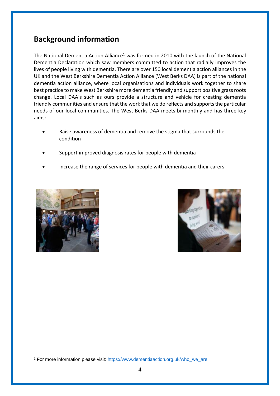## <span id="page-3-0"></span>**Background information**

The National Dementia Action Alliance<sup>1</sup> was formed in 2010 with the launch of the National Dementia Declaration which saw members committed to action that radially improves the lives of people living with dementia. There are over 150 local dementia action alliances in the UK and the West Berkshire Dementia Action Alliance (West Berks DAA) is part of the national dementia action alliance, where local organisations and individuals work together to share best practice to make West Berkshire more dementia friendly and support positive grass roots change. Local DAA's such as ours provide a structure and vehicle for creating dementia friendly communities and ensure that the work that we do reflects and supports the particular needs of our local communities. The West Berks DAA meets bi monthly and has three key aims:

- Raise awareness of dementia and remove the stigma that surrounds the condition
- Support improved diagnosis rates for people with dementia
- Increase the range of services for people with dementia and their carers





<sup>1</sup> <sup>1</sup> For more information please visit: [https://www.dementiaaction.org.uk/who\\_we\\_are](https://www.dementiaaction.org.uk/who_we_are)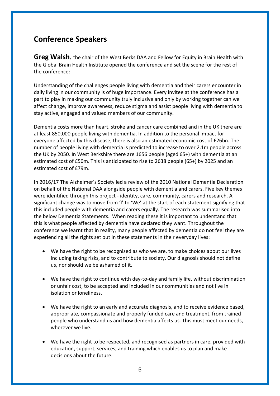## <span id="page-4-0"></span>**Conference Speakers**

<span id="page-4-1"></span>**Greg Walsh**, the chair of the West Berks DAA and Fellow for Equity in Brain Health with the Global Brain Health Institute opened the conference and set the scene for the rest of the conference:

Understanding of the challenges people living with dementia and their carers encounter in daily living in our community is of huge importance. Every invitee at the conference has a part to play in making our community truly inclusive and only by working together can we affect change, improve awareness, reduce stigma and assist people living with dementia to stay active, engaged and valued members of our community.

Dementia costs more than heart, stroke and cancer care combined and in the UK there are at least 850,000 people living with dementia. In addition to the personal impact for everyone affected by this disease, there is also an estimated economic cost of £26bn. The number of people living with dementia is predicted to increase to over 2.1m people across the UK by 2050. In West Berkshire there are 1656 people (aged 65+) with dementia at an estimated cost of £50m. This is anticipated to rise to 2638 people (65+) by 2025 and an estimated cost of £79m.

In 2016/17 The Alzheimer's Society led a review of the 2010 National Dementia Declaration on behalf of the National DAA alongside people with dementia and carers. Five key themes were identified through this project - identity, care, community, carers and research. A significant change was to move from 'I' to 'We' at the start of each statement signifying that this included people with dementia and carers equally. The research was summarised into the below Dementia Statements. When reading these it is important to understand that this is what people affected by dementia have declared they want. Throughout the conference we learnt that in reality, many people affected by dementia do not feel they are experiencing all the rights set out in these statements in their everyday lives:

- We have the right to be recognised as who we are, to make choices about our lives including taking risks, and to contribute to society. Our diagnosis should not define us, nor should we be ashamed of it.
- We have the right to continue with day-to-day and family life, without discrimination or unfair cost, to be accepted and included in our communities and not live in isolation or loneliness.
- We have the right to an early and accurate diagnosis, and to receive evidence based, appropriate, compassionate and properly funded care and treatment, from trained people who understand us and how dementia affects us. This must meet our needs, wherever we live.
- We have the right to be respected, and recognised as partners in care, provided with education, support, services, and training which enables us to plan and make decisions about the future.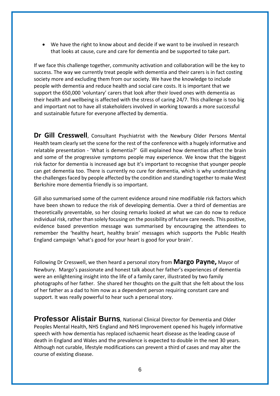We have the right to know about and decide if we want to be involved in research that looks at cause, cure and care for dementia and be supported to take part.

If we face this challenge together, community activation and collaboration will be the key to success. The way we currently treat people with dementia and their carers is in fact costing society more and excluding them from our society. We have the knowledge to include people with dementia and reduce health and social care costs. It is important that we support the 650,000 'voluntary' carers that look after their loved ones with dementia as their health and wellbeing is affected with the stress of caring 24/7. This challenge is too big and important not to have all stakeholders involved in working towards a more successful and sustainable future for everyone affected by dementia.

<span id="page-5-0"></span>**Dr Gill Cresswell**, Consultant Psychiatrist with the Newbury Older Persons Mental Health team clearly set the scene for the rest of the conference with a hugely informative and relatable presentation - 'What is dementia?' Gill explained how dementias affect the brain and some of the progressive symptoms people may experience. We know that the biggest risk factor for dementia is increased age but it's important to recognise that younger people can get dementia too. There is currently no cure for dementia, which is why understanding the challenges faced by people affected by the condition and standing together to make West Berkshire more dementia friendly is so important.

Gill also summarised some of the current evidence around nine modifiable risk factors which have been shown to reduce the risk of developing dementia. Over a third of dementias are theoretically preventable, so her closing remarks looked at what we can do now to reduce individual risk, rather than solely focusing on the possibility of future care needs. This positive, evidence based prevention message was summarised by encouraging the attendees to remember the 'healthy heart, healthy brain' messages which supports the Public Health England campaign 'what's good for your heart is good for your brain'.

Following Dr Cresswell, we then heard a personal story from **Margo Payne,** Mayor of Newbury. Margo's passionate and honest talk about her father's experiences of dementia were an enlightening insight into the life of a family carer, illustrated by two family photographs of her father. She shared her thoughts on the guilt that she felt about the loss of her father as a dad to him now as a dependent person requiring constant care and support. It was really powerful to hear such a personal story.

<span id="page-5-1"></span>**Professor Alistair Burns***,* National Clinical Director for Dementia and Older Peoples Mental Health, NHS England and NHS Improvement opened his hugely informative speech with how dementia has replaced ischaemic heart disease as the leading cause of death in England and Wales and the prevalence is expected to double in the next 30 years. Although not curable, lifestyle modifications can prevent a third of cases and may alter the course of existing disease.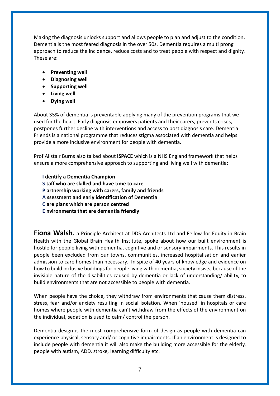Making the diagnosis unlocks support and allows people to plan and adjust to the condition. Dementia is the most feared diagnosis in the over 50s. Dementia requires a multi prong approach to reduce the incidence, reduce costs and to treat people with respect and dignity. These are:

- **•** Preventing well
- **Diagnosing well**
- **•** Supporting well
- **Living well**
- **Dying well**

About 35% of dementia is preventable applying many of the prevention programs that we used for the heart. Early diagnosis empowers patients and their carers, prevents crises, postpones further decline with interventions and access to post diagnosis care. Dementia Friends is a national programme that reduces stigma associated with dementia and helps provide a more inclusive environment for people with dementia.

Prof Alistair Burns also talked about **iSPACE** which is a NHS England framework that helps ensure a more comprehensive approach to supporting and living well with dementia:

**I dentify a Dementia Champion**

- **S taff who are skilled and have time to care**
- **P artnership working with carers, family and friends**
- **A ssessment and early identification of Dementia**
- **C are plans which are person centred**
- **E nvironments that are dementia friendly**

**Fiona Walsh**, a Principle Architect at DDS Architects Ltd and Fellow for Equity in Brain Health with the Global Brain Health Institute, spoke about how our built environment is hostile for people living with dementia, cognitive and or sensory impairments. This results in people been excluded from our towns, communities, increased hospitalisation and earlier admission to care homes than necessary. In spite of 40 years of knowledge and evidence on how to build inclusive buildings for people living with dementia, society insists, because of the invisible nature of the disabilities caused by dementia or lack of understanding/ ability, to build environments that are not accessible to people with dementia.

When people have the choice, they withdraw from environments that cause them distress, stress, fear and/or anxiety resulting in social isolation. When 'housed' in hospitals or care homes where people with dementia can't withdraw from the effects of the environment on the individual, sedation is used to calm/ control the person.

Dementia design is the most comprehensive form of design as people with dementia can experience physical, sensory and/ or cognitive impairments. If an environment is designed to include people with dementia it will also make the building more accessible for the elderly, people with autism, ADD, stroke, learning difficulty etc.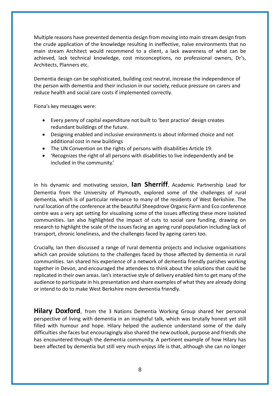Multiple reasons have prevented dementia design from moving into main stream design from the crude application of the knowledge resulting in ineffective, naïve environments that no main stream Architect would recommend to a client, a lack awareness of what can be achieved, lack technical knowledge, cost misconceptions, no professional owners, Dr's, Architects, Planners etc.

Dementia design can be sophisticated, building cost neutral, increase the independence of the person with dementia and their inclusion in our society, reduce pressure on carers and reduce health and social care costs if implemented correctly.

Fiona's key messages were:

- Every penny of capital expenditure not built to 'best practice' design creates redundant buildings of the future.
- Designing enabled and inclusive environments is about informed choice and not additional cost in new buildings
- The UN Convention on the rights of persons with disabilities Article 19:
- 'Recognizes the right of all persons with disabilities to live independently and be included in the community.'

In his dynamic and motivating session, **Ian Sherriff**, Academic Partnership Lead for Dementia from the University of Plymouth, explored some of the challenges of rural dementia, which is of particular relevance to many of the residents of West Berkshire. The rural location of the conference at the beautiful Sheepdrove Organic Farm and Eco conference centre was a very apt setting for visualising some of the issues affecting these more isolated communities. Ian also highlighted the impact of cuts to social care funding, drawing on research to highlight the scale of the issues facing an ageing rural population including lack of transport, chronic loneliness, and the challenges faced by ageing carers too.

Crucially, Ian then discussed a range of rural dementia projects and inclusive organisations which can provide solutions to the challenges faced by those affected by dementia in rural communities. Ian shared his experience of a network of dementia friendly parishes working together in Devon, and encouraged the attendees to think about the solutions that could be replicated in their own areas. Ian's interactive style of delivery enabled him to get many of the audience to participate in his presentation and share examples of what they are already doing or intend to do to make West Berkshire more dementia friendly.

**Hilary Doxford**, from the 3 Nations Dementia Working Group shared her personal perspective of living with dementia in an insightful talk, which was brutally honest yet still filled with humour and hope. Hilary helped the audience understand some of the daily difficulties she faces but encouragingly also shared the new outlook, purpose and friends she has encountered through the dementia community. A pertinent example of how Hilary has been affected by dementia but still very much enjoys life is that, although she can no longer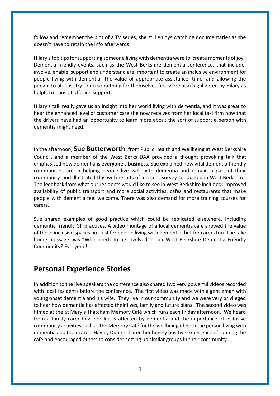follow and remember the plot of a TV series, she still enjoys watching documentaries as she doesn't have to retain the info afterwards!

Hilary's top tips for supporting someone living with dementia were to 'create moments of joy'. Dementia friendly events, such as the West Berkshire dementia conference, that include, involve, enable, support and understand are important to create an inclusive environment for people living with dementia. The value of appropriate assistance, time, and allowing the person to at least try to do something for themselves first were also highlighted by Hilary as helpful means of offering support.

Hilary's talk really gave us an insight into her world living with dementia, and it was great to hear the enhanced level of customer care she now receives from her local taxi firm now that the drivers have had an opportunity to learn more about the sort of support a person with dementia might need.

In the afternoon, **Sue Butterworth**, from Public Health and Wellbeing at West Berkshire Council, and a member of the West Berks DAA provided a thought provoking talk that emphasised how dementia is **everyone's business**. Sue explained how vital dementia friendly communities are in helping people live well with dementia and remain a part of their community, and illustrated this with results of a recent survey conducted in West Berkshire. The feedback from what our residents would like to see in West Berkshire included; improved availability of public transport and more social activities, cafes and restaurants that make people with dementia feel welcome. There was also demand for more training courses for carers.

Sue shared examples of good practice which could be replicated elsewhere, including dementia friendly GP practices. A video montage of a local dementia café showed the value of these inclusive spaces not just for people living with dementia, but for carers too. The take home message was "Who needs to be involved in our West Berkshire Dementia Friendly Community? Everyone!"

## **Personal Experience Stories**

In addition to the live speakers the conference also shared two very powerful videos recorded with local residents before the conference. The first video was made with a gentleman with young onset dementia and his wife. They live in our community and we were very privileged to hear how dementia has affected their lives, family and future plans. The second video was filmed at the St Mary's Thatcham Memory Café which runs each Friday afternoon. We heard from a family carer how her life is affected by dementia and the importance of inclusive community activities such as the Memory Café for the wellbeing of both the person living with dementia and their carer. Hayley Dunne shared her hugely positive experience of running the café and encouraged others to consider setting up similar groups in their community.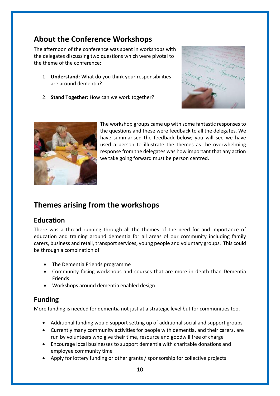## <span id="page-9-0"></span>**About the Conference Workshops**

The afternoon of the conference was spent in workshops with the delegates discussing two questions which were pivotal to the theme of the conference:

- 1. **Understand:** What do you think your responsibilities are around dementia?
- 2. **Stand Together:** How can we work together?





The workshop groups came up with some fantastic responses to the questions and these were feedback to all the delegates. We have summarised the feedback below; you will see we have used a person to illustrate the themes as the overwhelming response from the delegates was how important that any action we take going forward must be person centred.

## <span id="page-9-1"></span>**Themes arising from the workshops**

#### <span id="page-9-2"></span>**Education**

There was a thread running through all the themes of the need for and importance of education and training around dementia for all areas of our community including family carers, business and retail, transport services, young people and voluntary groups. This could be through a combination of

- The Dementia Friends programme
- Community facing workshops and courses that are more in depth than Dementia Friends
- Workshops around dementia enabled design

#### <span id="page-9-3"></span>**Funding**

More funding is needed for dementia not just at a strategic level but for communities too.

- Additional funding would support setting up of additional social and support groups
- Currently many community activities for people with dementia, and their carers, are run by volunteers who give their time, resource and goodwill free of charge
- Encourage local businesses to support dementia with charitable donations and employee community time
- Apply for lottery funding or other grants / sponsorship for collective projects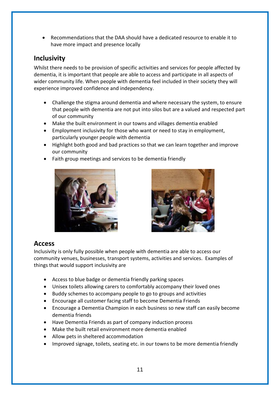Recommendations that the DAA should have a dedicated resource to enable it to have more impact and presence locally

#### <span id="page-10-0"></span>**Inclusivity**

Whilst there needs to be provision of specific activities and services for people affected by dementia, it is important that people are able to access and participate in all aspects of wider community life. When people with dementia feel included in their society they will experience improved confidence and independency.

- Challenge the stigma around dementia and where necessary the system, to ensure that people with dementia are not put into silos but are a valued and respected part of our community
- Make the built environment in our towns and villages dementia enabled
- Employment inclusivity for those who want or need to stay in employment, particularly younger people with dementia
- Highlight both good and bad practices so that we can learn together and improve our community
- Faith group meetings and services to be dementia friendly





#### <span id="page-10-1"></span>**Access**

Inclusivity is only fully possible when people with dementia are able to access our community venues, businesses, transport systems, activities and services. Examples of things that would support inclusivity are

- Access to blue badge or dementia friendly parking spaces
- Unisex toilets allowing carers to comfortably accompany their loved ones
- Buddy schemes to accompany people to go to groups and activities
- Encourage all customer facing staff to become Dementia Friends
- Encourage a Dementia Champion in each business so new staff can easily become dementia friends
- Have Dementia Friends as part of company induction process
- Make the built retail environment more dementia enabled
- Allow pets in sheltered accommodation
- Improved signage, toilets, seating etc. in our towns to be more dementia friendly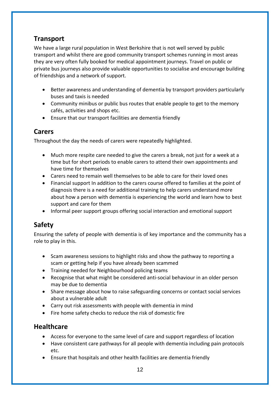### <span id="page-11-0"></span>**Transport**

We have a large rural population in West Berkshire that is not well served by public transport and whilst there are good community transport schemes running in most areas they are very often fully booked for medical appointment journeys. Travel on public or private bus journeys also provide valuable opportunities to socialise and encourage building of friendships and a network of support.

- Better awareness and understanding of dementia by transport providers particularly buses and taxis is needed
- Community minibus or public bus routes that enable people to get to the memory cafés, activities and shops etc.
- Ensure that our transport facilities are dementia friendly

#### <span id="page-11-1"></span>**Carers**

Throughout the day the needs of carers were repeatedly highlighted.

- Much more respite care needed to give the carers a break, not just for a week at a time but for short periods to enable carers to attend their own appointments and have time for themselves
- Carers need to remain well themselves to be able to care for their loved ones
- Financial support In addition to the carers course offered to families at the point of diagnosis there is a need for additional training to help carers understand more about how a person with dementia is experiencing the world and learn how to best support and care for them
- Informal peer support groups offering social interaction and emotional support

## <span id="page-11-2"></span>**Safety**

Ensuring the safety of people with dementia is of key importance and the community has a role to play in this.

- Scam awareness sessions to highlight risks and show the pathway to reporting a scam or getting help if you have already been scammed
- Training needed for Neighbourhood policing teams
- Recognise that what might be considered anti-social behaviour in an older person may be due to dementia
- Share message about how to raise safeguarding concerns or contact social services about a vulnerable adult
- Carry out risk assessments with people with dementia in mind
- Fire home safety checks to reduce the risk of domestic fire

#### <span id="page-11-3"></span>**Healthcare**

- Access for everyone to the same level of care and support regardless of location
- Have consistent care pathways for all people with dementia including pain protocols etc.
- Ensure that hospitals and other health facilities are dementia friendly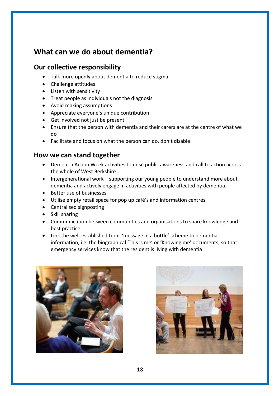## <span id="page-12-0"></span>**What can we do about dementia?**

#### <span id="page-12-1"></span>**Our collective responsibility**

- Talk more openly about dementia to reduce stigma
- Challenge attitudes
- Listen with sensitivity
- Treat people as individuals not the diagnosis
- Avoid making assumptions
- Appreciate everyone's unique contribution
- Get involved not just be present
- Ensure that the person with dementia and their carers are at the centre of what we do
- Facilitate and focus on what the person can do, don't disable

#### <span id="page-12-2"></span>**How we can stand together**

- Dementia Action Week activities to raise public awareness and call to action across the whole of West Berkshire
- Intergenerational work supporting our young people to understand more about dementia and actively engage in activities with people affected by dementia.
- Better use of businesses
- Utilise empty retail space for pop up café's and information centres
- Centralised signposting
- Skill sharing
- Communication between communities and organisations to share knowledge and best practice
- Link the well-established Lions 'message in a bottle' scheme to dementia information, i.e. the biographical 'This is me' or 'Knowing me' documents, so that emergency services know that the resident is living with dementia



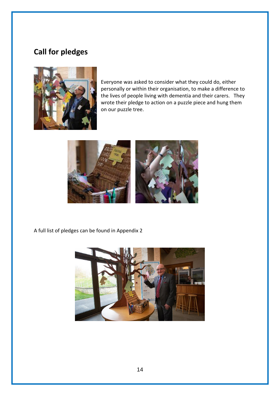## <span id="page-13-0"></span>**Call for pledges**



Everyone was asked to consider what they could do, either personally or within their organisation, to make a difference to the lives of people living with dementia and their carers. They wrote their pledge to action on a puzzle piece and hung them on our puzzle tree.



A full list of pledges can be found in Appendix 2

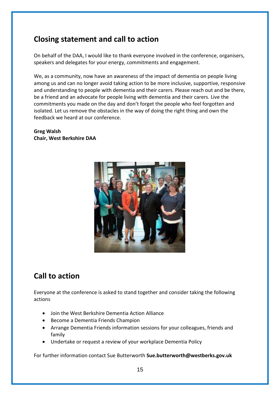## <span id="page-14-0"></span>**Closing statement and call to action**

On behalf of the DAA, I would like to thank everyone involved in the conference, organisers, speakers and delegates for your energy, commitments and engagement.

We, as a community, now have an awareness of the impact of dementia on people living among us and can no longer avoid taking action to be more inclusive, supportive, responsive and understanding to people with dementia and their carers. Please reach out and be there, be a friend and an advocate for people living with dementia and their carers. Live the commitments you made on the day and don't forget the people who feel forgotten and isolated. Let us remove the obstacles in the way of doing the right thing and own the feedback we heard at our conference.

**Greg Walsh Chair, West Berkshire DAA**



## <span id="page-14-1"></span>**Call to action**

Everyone at the conference is asked to stand together and consider taking the following actions

- Join the West Berkshire Dementia Action Alliance
- Become a Dementia Friends Champion
- Arrange Dementia Friends information sessions for your colleagues, friends and family
- Undertake or request a review of your workplace Dementia Policy

For further information contact Sue Butterworth **Sue.butterworth@westberks.gov.uk**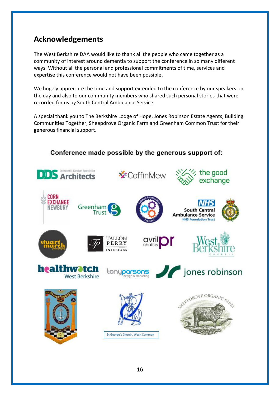## **Acknowledgements**

The West Berkshire DAA would like to thank all the people who came together as a community of interest around dementia to support the conference in so many different ways. Without all the personal and professional commitments of time, services and expertise this conference would not have been possible.

We hugely appreciate the time and support extended to the conference by our speakers on the day and also to our community members who shared such personal stories that were recorded for us by South Central Ambulance Service.

A special thank you to The Berkshire Lodge of Hope, Jones Robinson Estate Agents, Building Communities Together, Sheepdrove Organic Farm and Greenham Common Trust for their generous financial support.



#### Conference made possible by the generous support of: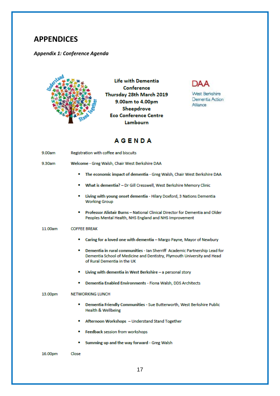### <span id="page-16-0"></span>**APPENDICES**

#### <span id="page-16-1"></span>*Appendix 1: Conference Agenda*



**Life with Dementia** Conference Thursday 28th March 2019 9.00am to 4.00pm Sheepdrove **Eco Conference Centre** Lambourn



West Berkshire Dementia Action Alliance

### **AGENDA**

| 9.00am  | Registration with coffee and biscuits                                                                                                                                                     |
|---------|-------------------------------------------------------------------------------------------------------------------------------------------------------------------------------------------|
| 9.30am  | Welcome - Greg Walsh, Chair West Berkshire DAA                                                                                                                                            |
|         | The economic impact of dementia - Greg Walsh, Chair West Berkshire DAA<br>п                                                                                                               |
|         | What is dementia? - Dr Gill Cresswell, West Berkshire Memory Clinic<br>п                                                                                                                  |
|         | Living with young onset dementia - Hilary Doxford, 3 Nations Dementia<br>٠<br><b>Working Group</b>                                                                                        |
|         | Professor Alistair Burns - National Clinical Director for Dementia and Older<br>п<br>Peoples Mental Health, NHS England and NHS Improvement                                               |
| 11.00am | <b>COFFEE BREAK</b>                                                                                                                                                                       |
|         | Caring for a loved one with dementia - Margo Payne, Mayor of Newbury<br>п                                                                                                                 |
|         | Dementia in rural communities - Ian Sherriff Academic Partnership Lead for<br>п<br>Dementia School of Medicine and Dentistry, Plymouth University and Head<br>of Rural Dementia in the UK |
|         | Living with dementia in West Berkshire - a personal story<br>п                                                                                                                            |
|         | Dementia Enabled Environments - Fiona Walsh, DDS Architects<br>п                                                                                                                          |
| 13.00pm | <b>NETWORKING LUNCH</b>                                                                                                                                                                   |
|         | Dementia Friendly Communities - Sue Butterworth, West Berkshire Public<br>п<br>Health & Wellbeing                                                                                         |
|         | п<br>Afternoon Workshops - Understand Stand Together                                                                                                                                      |
|         | Feedback session from workshops<br>п                                                                                                                                                      |
|         | Summing up and the way forward - Greg Walsh<br>п                                                                                                                                          |

16.00pm Close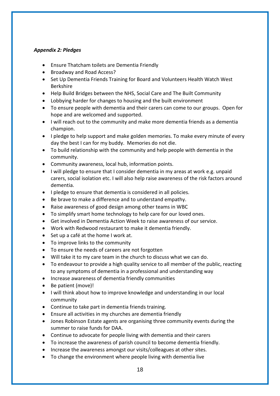#### <span id="page-17-0"></span>*Appendix 2: Pledges*

- Ensure Thatcham toilets are Dementia Friendly
- Broadway and Road Access?
- Set Up Dementia Friends Training for Board and Volunteers Health Watch West Berkshire
- Help Build Bridges between the NHS, Social Care and The Built Community
- Lobbying harder for changes to housing and the built environment
- To ensure people with dementia and their carers can come to our groups. Open for hope and are welcomed and supported.
- I will reach out to the community and make more dementia friends as a dementia champion.
- I pledge to help support and make golden memories. To make every minute of every day the best I can for my buddy. Memories do not die.
- To build relationship with the community and help people with dementia in the community.
- Community awareness, local hub, information points.
- I will pledge to ensure that I consider dementia in my areas at work e.g. unpaid carers, social isolation etc. I will also help raise awareness of the risk factors around dementia.
- I pledge to ensure that dementia is considered in all policies.
- Be brave to make a difference and to understand empathy.
- Raise awareness of good design among other teams in WBC
- To simplify smart home technology to help care for our loved ones.
- Get involved in Dementia Action Week to raise awareness of our service.
- Work with Redwood restaurant to make it dementia friendly.
- Set up a café at the home I work at.
- To improve links to the community
- To ensure the needs of careers are not forgotten
- Will take it to my care team in the church to discuss what we can do.
- To endeavour to provide a high quality service to all member of the public, reacting to any symptoms of dementia in a professional and understanding way
- Increase awareness of dementia friendly communities
- Be patient (move)!
- I will think about how to improve knowledge and understanding in our local community
- Continue to take part in dementia friends training.
- Ensure all activities in my churches are dementia friendly
- Jones Robinson Estate agents are organising three community events during the summer to raise funds for DAA.
- Continue to advocate for people living with dementia and their carers
- To increase the awareness of parish council to become dementia friendly.
- Increase the awareness amongst our visits/colleagues at other sites.
- To change the environment where people living with dementia live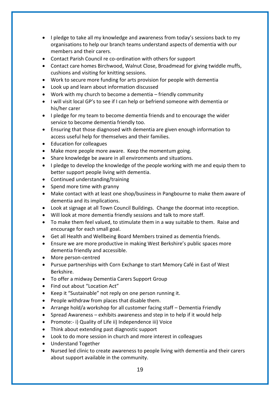- I pledge to take all my knowledge and awareness from today's sessions back to my organisations to help our branch teams understand aspects of dementia with our members and their carers.
- Contact Parish Council re co-ordination with others for support
- Contact care homes Birchwood, Walnut Close, Broadmead for giving twiddle muffs, cushions and visiting for knitting sessions.
- Work to secure more funding for arts provision for people with dementia
- Look up and learn about information discussed
- Work with my church to become a dementia friendly community
- I will visit local GP's to see if I can help or befriend someone with dementia or his/her carer
- I pledge for my team to become dementia friends and to encourage the wider service to become dementia friendly too.
- Ensuring that those diagnosed with dementia are given enough information to access useful help for themselves and their families.
- Education for colleagues
- Make more people more aware. Keep the momentum going.
- Share knowledge be aware in all environments and situations.
- I pledge to develop the knowledge of the people working with me and equip them to better support people living with dementia.
- Continued understanding/training
- Spend more time with granny
- Make contact with at least one shop/business in Pangbourne to make them aware of dementia and its implications.
- Look at signage at all Town Council Buildings. Change the doormat into reception.
- Will look at more dementia friendly sessions and talk to more staff.
- To make them feel valued, to stimulate them in a way suitable to them. Raise and encourage for each small goal.
- Get all Health and Wellbeing Board Members trained as dementia friends.
- Ensure we are more productive in making West Berkshire's public spaces more dementia friendly and accessible.
- More person-centred
- Pursue partnerships with Corn Exchange to start Memory Café in East of West Berkshire.
- To offer a midway Dementia Carers Support Group
- Find out about "Location Act"
- Keep it "Sustainable" not reply on one person running it.
- People withdraw from places that disable them.
- Arrange hold/a workshop for all customer facing staff Dementia Friendly
- **•** Spread Awareness exhibits awareness and step in to help if it would help
- Promote:- i) Quality of Life ii) Independence iii) Voice
- Think about extending past diagnostic support
- Look to do more session in church and more interest in colleagues
- Understand Together
- Nursed led clinic to create awareness to people living with dementia and their carers about support available in the community.